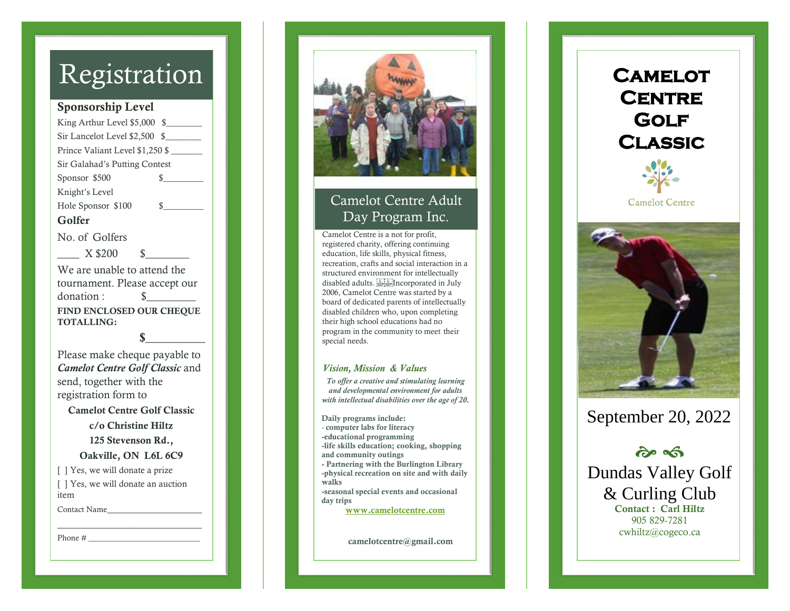## Registration

#### Sponsorship Level

King Arthur Level \$ 5,000 \$\_\_\_\_\_\_\_\_ Sir Lancelot Level \$2,500 \$ Prince Valiant Level \$1,250 \$ Sir Galahad's Putting Contest Sponsor \$  $\mathbb{S}$ Knight's Level Hole Sponsor \$100 \$ Golfer No. of Golfers \_\_\_\_ X \$200 \$\_\_\_\_\_\_\_\_ We are unable to attend the tournament. Please accept our donation : \$\_\_\_\_\_\_\_\_\_ FIND ENCLOSED OUR CHEQUE TOTALLING:

Please make cheque payable to *Camelot Centre Golf Classic* and send , together with the registration form to

 $\mathbf{s}$ 

Camelot Centre Golf Classic c/o Christine Hiltz 125 Stevenson Rd., Oakville, ON L6L 6C9 [  $\vert$  Yes, we will donate a prize [  $\vert$  Yes, we will donate an auction item Contact Name\_\_\_\_\_\_\_\_\_\_\_\_\_\_\_\_\_\_\_

\_\_\_\_\_\_\_\_\_\_\_\_\_\_\_\_\_\_\_\_\_\_\_\_\_\_\_\_\_

Phone  $\#$ 



### Camelot Centre Adult Day Program Inc.

Camelot Centre is a not for profit, registered charity, offering continuing education, life skills, physical fitness, recreation, crafts and social interaction in a structured environment for intellectually disabled adults. Incorporated in July 2006, Camelot Centre was started by a board of dedicated parents of intellectually disabled children who, upon completing their high school educations had no program in the community to meet their special needs.

#### *Vision, Mission & Values*

*To offer a creative and stimulating learning and developmental environment for adults with intellectual disabilities over the age of 20.*

Daily programs include: - computer labs for literacy -educational programming -life skills education; cooking, shopping and community outings - Partnering with the Burlington Library -physical recreation on site and with daily walks -seasonal special events and occasional day trips [www.camelotcentre.com](http://www.camelotcentre.com/)

camelotcentre@gmail.com





### September 2 0, 202 2

જે જી Dundas Valley Golf & Curling Club Contact : Carl Hiltz 905 829 -7281 cwhiltz@cogeco.ca